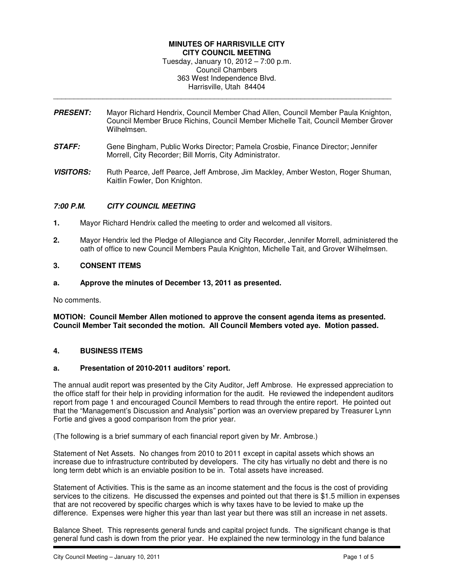## **MINUTES OF HARRISVILLE CITY CITY COUNCIL MEETING**  Tuesday, January 10, 2012 – 7:00 p.m. Council Chambers 363 West Independence Blvd.

Harrisville, Utah 84404 \_\_\_\_\_\_\_\_\_\_\_\_\_\_\_\_\_\_\_\_\_\_\_\_\_\_\_\_\_\_\_\_\_\_\_\_\_\_\_\_\_\_\_\_\_\_\_\_\_\_\_\_\_\_\_\_\_\_\_\_\_\_\_\_\_\_\_\_\_\_\_\_\_\_\_\_\_\_\_\_\_\_

- **PRESENT:** Mayor Richard Hendrix, Council Member Chad Allen, Council Member Paula Knighton, Council Member Bruce Richins, Council Member Michelle Tait, Council Member Grover Wilhelmsen.
- **STAFF:** Gene Bingham, Public Works Director; Pamela Crosbie, Finance Director; Jennifer Morrell, City Recorder; Bill Morris, City Administrator.
- **VISITORS:** Ruth Pearce, Jeff Pearce, Jeff Ambrose, Jim Mackley, Amber Weston, Roger Shuman, Kaitlin Fowler, Don Knighton.

# **7:00 P.M. CITY COUNCIL MEETING**

- **1.** Mayor Richard Hendrix called the meeting to order and welcomed all visitors.
- **2.** Mayor Hendrix led the Pledge of Allegiance and City Recorder, Jennifer Morrell, administered the oath of office to new Council Members Paula Knighton, Michelle Tait, and Grover Wilhelmsen.

### **3. CONSENT ITEMS**

**a. Approve the minutes of December 13, 2011 as presented.** 

No comments.

**MOTION: Council Member Allen motioned to approve the consent agenda items as presented. Council Member Tait seconded the motion. All Council Members voted aye. Motion passed.** 

### **4. BUSINESS ITEMS**

### **a. Presentation of 2010-2011 auditors' report.**

The annual audit report was presented by the City Auditor, Jeff Ambrose. He expressed appreciation to the office staff for their help in providing information for the audit. He reviewed the independent auditors report from page 1 and encouraged Council Members to read through the entire report. He pointed out that the "Management's Discussion and Analysis" portion was an overview prepared by Treasurer Lynn Fortie and gives a good comparison from the prior year.

(The following is a brief summary of each financial report given by Mr. Ambrose.)

Statement of Net Assets. No changes from 2010 to 2011 except in capital assets which shows an increase due to infrastructure contributed by developers. The city has virtually no debt and there is no long term debt which is an enviable position to be in. Total assets have increased.

Statement of Activities. This is the same as an income statement and the focus is the cost of providing services to the citizens. He discussed the expenses and pointed out that there is \$1.5 million in expenses that are not recovered by specific charges which is why taxes have to be levied to make up the difference. Expenses were higher this year than last year but there was still an increase in net assets.

Balance Sheet. This represents general funds and capital project funds. The significant change is that general fund cash is down from the prior year. He explained the new terminology in the fund balance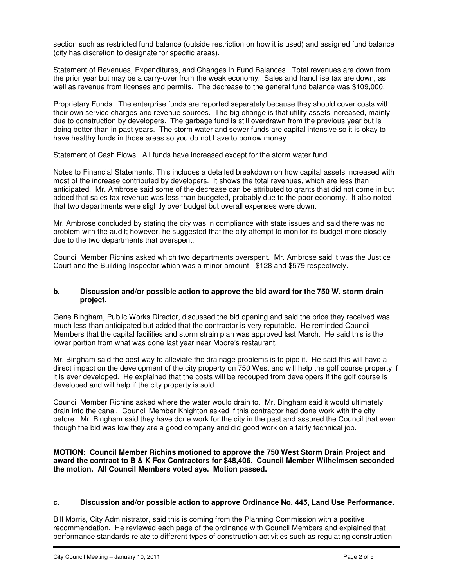section such as restricted fund balance (outside restriction on how it is used) and assigned fund balance (city has discretion to designate for specific areas).

Statement of Revenues, Expenditures, and Changes in Fund Balances. Total revenues are down from the prior year but may be a carry-over from the weak economy. Sales and franchise tax are down, as well as revenue from licenses and permits. The decrease to the general fund balance was \$109,000.

Proprietary Funds. The enterprise funds are reported separately because they should cover costs with their own service charges and revenue sources. The big change is that utility assets increased, mainly due to construction by developers. The garbage fund is still overdrawn from the previous year but is doing better than in past years. The storm water and sewer funds are capital intensive so it is okay to have healthy funds in those areas so you do not have to borrow money.

Statement of Cash Flows. All funds have increased except for the storm water fund.

Notes to Financial Statements. This includes a detailed breakdown on how capital assets increased with most of the increase contributed by developers. It shows the total revenues, which are less than anticipated. Mr. Ambrose said some of the decrease can be attributed to grants that did not come in but added that sales tax revenue was less than budgeted, probably due to the poor economy. It also noted that two departments were slightly over budget but overall expenses were down.

Mr. Ambrose concluded by stating the city was in compliance with state issues and said there was no problem with the audit; however, he suggested that the city attempt to monitor its budget more closely due to the two departments that overspent.

Council Member Richins asked which two departments overspent. Mr. Ambrose said it was the Justice Court and the Building Inspector which was a minor amount - \$128 and \$579 respectively.

### **b. Discussion and/or possible action to approve the bid award for the 750 W. storm drain project.**

Gene Bingham, Public Works Director, discussed the bid opening and said the price they received was much less than anticipated but added that the contractor is very reputable. He reminded Council Members that the capital facilities and storm strain plan was approved last March. He said this is the lower portion from what was done last year near Moore's restaurant.

Mr. Bingham said the best way to alleviate the drainage problems is to pipe it. He said this will have a direct impact on the development of the city property on 750 West and will help the golf course property if it is ever developed. He explained that the costs will be recouped from developers if the golf course is developed and will help if the city property is sold.

Council Member Richins asked where the water would drain to. Mr. Bingham said it would ultimately drain into the canal. Council Member Knighton asked if this contractor had done work with the city before. Mr. Bingham said they have done work for the city in the past and assured the Council that even though the bid was low they are a good company and did good work on a fairly technical job.

**MOTION: Council Member Richins motioned to approve the 750 West Storm Drain Project and award the contract to B & K Fox Contractors for \$48,406. Council Member Wilhelmsen seconded the motion. All Council Members voted aye. Motion passed.** 

# **c. Discussion and/or possible action to approve Ordinance No. 445, Land Use Performance.**

Bill Morris, City Administrator, said this is coming from the Planning Commission with a positive recommendation. He reviewed each page of the ordinance with Council Members and explained that performance standards relate to different types of construction activities such as regulating construction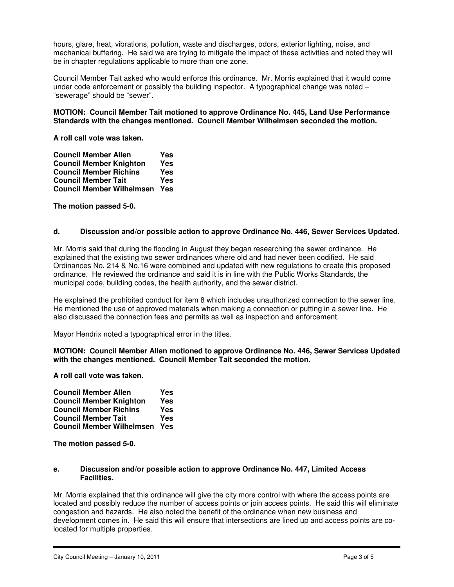hours, glare, heat, vibrations, pollution, waste and discharges, odors, exterior lighting, noise, and mechanical buffering. He said we are trying to mitigate the impact of these activities and noted they will be in chapter regulations applicable to more than one zone.

Council Member Tait asked who would enforce this ordinance. Mr. Morris explained that it would come under code enforcement or possibly the building inspector. A typographical change was noted – "sewerage" should be "sewer".

### **MOTION: Council Member Tait motioned to approve Ordinance No. 445, Land Use Performance Standards with the changes mentioned. Council Member Wilhelmsen seconded the motion.**

**A roll call vote was taken.** 

**Council Member Allen State State**<br> **Council Member Knighton State Council Member Knighton Yes Council Member Richins Yes Council Member Tait Council Member Wilhelmsen Yes** 

**The motion passed 5-0.** 

## **d. Discussion and/or possible action to approve Ordinance No. 446, Sewer Services Updated.**

Mr. Morris said that during the flooding in August they began researching the sewer ordinance. He explained that the existing two sewer ordinances where old and had never been codified. He said Ordinances No. 214 & No.16 were combined and updated with new regulations to create this proposed ordinance. He reviewed the ordinance and said it is in line with the Public Works Standards, the municipal code, building codes, the health authority, and the sewer district.

He explained the prohibited conduct for item 8 which includes unauthorized connection to the sewer line. He mentioned the use of approved materials when making a connection or putting in a sewer line. He also discussed the connection fees and permits as well as inspection and enforcement.

Mayor Hendrix noted a typographical error in the titles.

**MOTION: Council Member Allen motioned to approve Ordinance No. 446, Sewer Services Updated with the changes mentioned. Council Member Tait seconded the motion.** 

**A roll call vote was taken.** 

| <b>Council Member Allen</b>      | Yes |
|----------------------------------|-----|
| <b>Council Member Knighton</b>   | Yes |
| <b>Council Member Richins</b>    | Yes |
| <b>Council Member Tait</b>       | Yes |
| <b>Council Member Wilhelmsen</b> | Yes |

**The motion passed 5-0.** 

### **e. Discussion and/or possible action to approve Ordinance No. 447, Limited Access Facilities.**

Mr. Morris explained that this ordinance will give the city more control with where the access points are located and possibly reduce the number of access points or join access points. He said this will eliminate congestion and hazards. He also noted the benefit of the ordinance when new business and development comes in. He said this will ensure that intersections are lined up and access points are colocated for multiple properties.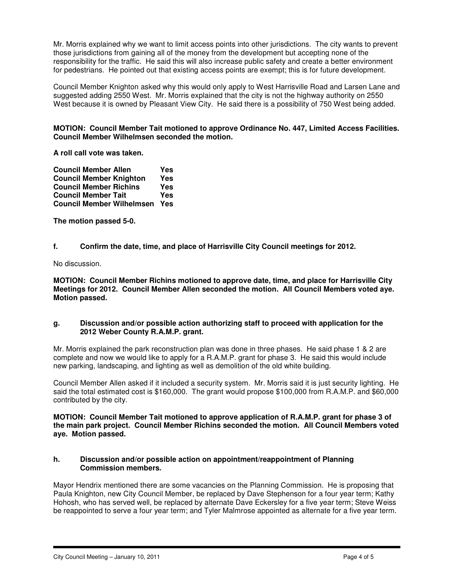Mr. Morris explained why we want to limit access points into other jurisdictions. The city wants to prevent those jurisdictions from gaining all of the money from the development but accepting none of the responsibility for the traffic. He said this will also increase public safety and create a better environment for pedestrians. He pointed out that existing access points are exempt; this is for future development.

Council Member Knighton asked why this would only apply to West Harrisville Road and Larsen Lane and suggested adding 2550 West. Mr. Morris explained that the city is not the highway authority on 2550 West because it is owned by Pleasant View City. He said there is a possibility of 750 West being added.

## **MOTION: Council Member Tait motioned to approve Ordinance No. 447, Limited Access Facilities. Council Member Wilhelmsen seconded the motion.**

**A roll call vote was taken.** 

| <b>Council Member Allen</b>      | Yes |
|----------------------------------|-----|
| <b>Council Member Knighton</b>   | Yes |
| <b>Council Member Richins</b>    | Yes |
| <b>Council Member Tait</b>       | Yes |
| <b>Council Member Wilhelmsen</b> | Yes |

**The motion passed 5-0.** 

**f. Confirm the date, time, and place of Harrisville City Council meetings for 2012.** 

No discussion.

**MOTION: Council Member Richins motioned to approve date, time, and place for Harrisville City Meetings for 2012. Council Member Allen seconded the motion. All Council Members voted aye. Motion passed.** 

### **g. Discussion and/or possible action authorizing staff to proceed with application for the 2012 Weber County R.A.M.P. grant.**

Mr. Morris explained the park reconstruction plan was done in three phases. He said phase 1 & 2 are complete and now we would like to apply for a R.A.M.P. grant for phase 3. He said this would include new parking, landscaping, and lighting as well as demolition of the old white building.

Council Member Allen asked if it included a security system. Mr. Morris said it is just security lighting. He said the total estimated cost is \$160,000. The grant would propose \$100,000 from R.A.M.P. and \$60,000 contributed by the city.

**MOTION: Council Member Tait motioned to approve application of R.A.M.P. grant for phase 3 of the main park project. Council Member Richins seconded the motion. All Council Members voted aye. Motion passed.** 

## **h. Discussion and/or possible action on appointment/reappointment of Planning Commission members.**

Mayor Hendrix mentioned there are some vacancies on the Planning Commission. He is proposing that Paula Knighton, new City Council Member, be replaced by Dave Stephenson for a four year term; Kathy Hohosh, who has served well, be replaced by alternate Dave Eckersley for a five year term; Steve Weiss be reappointed to serve a four year term; and Tyler Malmrose appointed as alternate for a five year term.